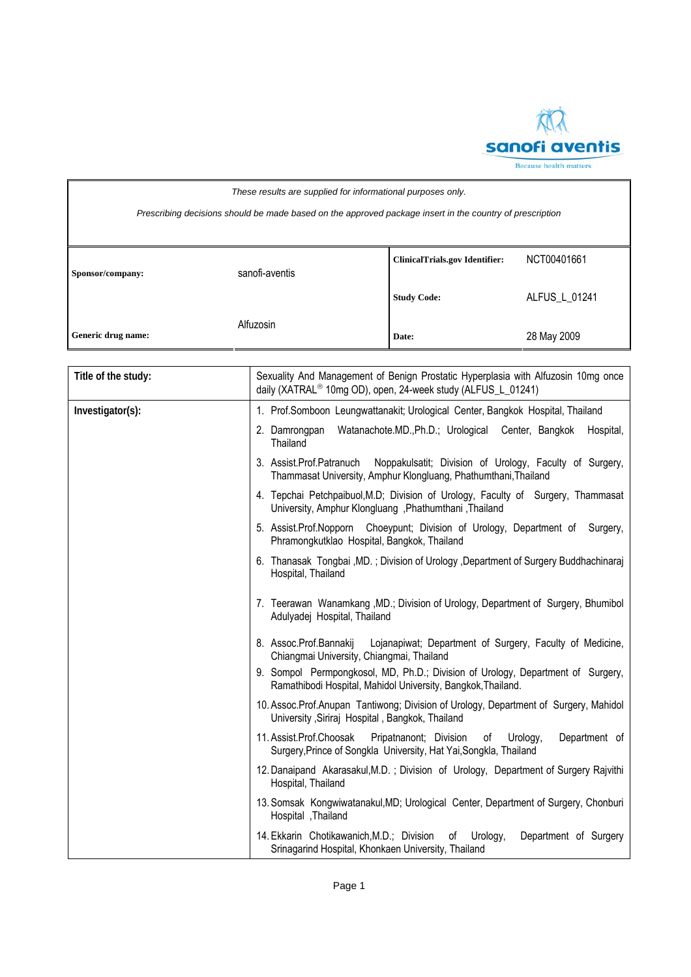

| These results are supplied for informational purposes only.                                              |                |                                       |               |  |
|----------------------------------------------------------------------------------------------------------|----------------|---------------------------------------|---------------|--|
| Prescribing decisions should be made based on the approved package insert in the country of prescription |                |                                       |               |  |
|                                                                                                          |                |                                       |               |  |
|                                                                                                          |                | <b>ClinicalTrials.gov Identifier:</b> | NCT00401661   |  |
| Sponsor/company:                                                                                         | sanofi-aventis |                                       |               |  |
|                                                                                                          |                | <b>Study Code:</b>                    | ALFUS L 01241 |  |
| Generic drug name:                                                                                       | Alfuzosin      | Date:                                 | 28 May 2009   |  |

| Title of the study: | Sexuality And Management of Benign Prostatic Hyperplasia with Alfuzosin 10mg once<br>daily (XATRAL <sup>®</sup> 10mg OD), open, 24-week study (ALFUS_L_01241) |  |
|---------------------|---------------------------------------------------------------------------------------------------------------------------------------------------------------|--|
| Investigator(s):    | 1. Prof.Somboon Leungwattanakit; Urological Center, Bangkok Hospital, Thailand                                                                                |  |
|                     | Watanachote.MD., Ph.D.; Urological Center, Bangkok<br>Hospital,<br>2. Damrongpan<br>Thailand                                                                  |  |
|                     | 3. Assist.Prof.Patranuch<br>Noppakulsatit; Division of Urology, Faculty of Surgery,<br>Thammasat University, Amphur Klongluang, Phathumthani, Thailand        |  |
|                     | 4. Tepchai Petchpaibuol, M.D; Division of Urology, Faculty of Surgery, Thammasat<br>University, Amphur Klongluang, Phathumthani, Thailand                     |  |
|                     | 5. Assist.Prof.Nopporn Choeypunt; Division of Urology, Department of Surgery,<br>Phramongkutklao Hospital, Bangkok, Thailand                                  |  |
|                     | 6. Thanasak Tongbai, MD.; Division of Urology, Department of Surgery Buddhachinaraj<br>Hospital, Thailand                                                     |  |
|                     | 7. Teerawan Wanamkang , MD.; Division of Urology, Department of Surgery, Bhumibol<br>Adulyadej Hospital, Thailand                                             |  |
|                     | 8. Assoc.Prof.Bannakij<br>Lojanapiwat; Department of Surgery, Faculty of Medicine,<br>Chiangmai University, Chiangmai, Thailand                               |  |
|                     | 9. Sompol Permpongkosol, MD, Ph.D.; Division of Urology, Department of Surgery,<br>Ramathibodi Hospital, Mahidol University, Bangkok, Thailand.               |  |
|                     | 10. Assoc.Prof.Anupan Tantiwong; Division of Urology, Department of Surgery, Mahidol<br>University , Siriraj Hospital, Bangkok, Thailand                      |  |
|                     | 11. Assist.Prof.Choosak<br>Pripatnanont; Division<br>Urology,<br>Department of<br>of<br>Surgery, Prince of Songkla University, Hat Yai, Songkla, Thailand     |  |
|                     | 12. Danaipand Akarasakul, M.D.; Division of Urology, Department of Surgery Rajvithi<br>Hospital, Thailand                                                     |  |
|                     | 13. Somsak Kongwiwatanakul, MD; Urological Center, Department of Surgery, Chonburi<br>Hospital , Thailand                                                     |  |
|                     | 14. Ekkarin Chotikawanich, M.D.; Division<br>of<br>Urology,<br>Department of Surgery<br>Srinagarind Hospital, Khonkaen University, Thailand                   |  |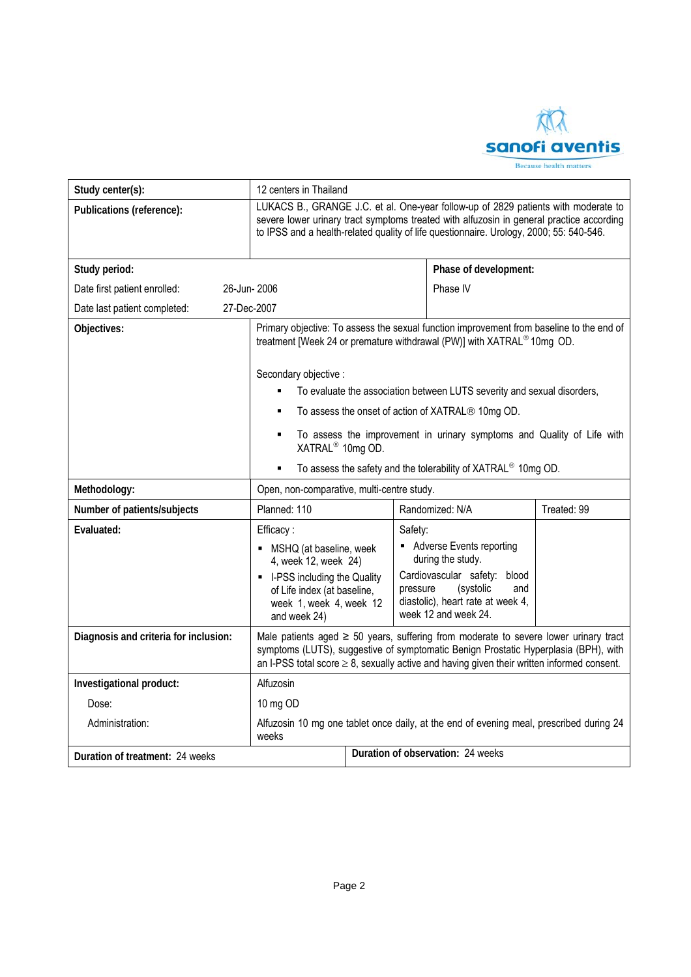

| Study center(s):                            | 12 centers in Thailand                                                                                                                                                                                                                                                               |                                   |          |                                                                                                                                                                                |             |  |
|---------------------------------------------|--------------------------------------------------------------------------------------------------------------------------------------------------------------------------------------------------------------------------------------------------------------------------------------|-----------------------------------|----------|--------------------------------------------------------------------------------------------------------------------------------------------------------------------------------|-------------|--|
| Publications (reference):                   | LUKACS B., GRANGE J.C. et al. One-year follow-up of 2829 patients with moderate to<br>severe lower urinary tract symptoms treated with alfuzosin in general practice according<br>to IPSS and a health-related quality of life questionnaire. Urology, 2000; 55: 540-546.            |                                   |          |                                                                                                                                                                                |             |  |
| Study period:                               |                                                                                                                                                                                                                                                                                      |                                   |          | Phase of development:                                                                                                                                                          |             |  |
| Date first patient enrolled:<br>26-Jun-2006 |                                                                                                                                                                                                                                                                                      |                                   |          | Phase IV                                                                                                                                                                       |             |  |
| 27-Dec-2007<br>Date last patient completed: |                                                                                                                                                                                                                                                                                      |                                   |          |                                                                                                                                                                                |             |  |
| Objectives:                                 |                                                                                                                                                                                                                                                                                      |                                   |          | Primary objective: To assess the sexual function improvement from baseline to the end of<br>treatment [Week 24 or premature withdrawal (PW)] with XATRAL <sup>®</sup> 10mg OD. |             |  |
|                                             | Secondary objective :                                                                                                                                                                                                                                                                |                                   |          |                                                                                                                                                                                |             |  |
|                                             |                                                                                                                                                                                                                                                                                      |                                   |          | To evaluate the association between LUTS severity and sexual disorders,                                                                                                        |             |  |
|                                             |                                                                                                                                                                                                                                                                                      |                                   |          | To assess the onset of action of XATRAL® 10mg OD.                                                                                                                              |             |  |
|                                             | $\blacksquare$<br>XATRAL <sup>®</sup> 10mg OD.                                                                                                                                                                                                                                       |                                   |          | To assess the improvement in urinary symptoms and Quality of Life with                                                                                                         |             |  |
|                                             | ٠                                                                                                                                                                                                                                                                                    |                                   |          | To assess the safety and the tolerability of XATRAL <sup>®</sup> 10mg OD.                                                                                                      |             |  |
| Methodology:                                | Open, non-comparative, multi-centre study.                                                                                                                                                                                                                                           |                                   |          |                                                                                                                                                                                |             |  |
| Number of patients/subjects                 | Planned: 110                                                                                                                                                                                                                                                                         |                                   |          | Randomized: N/A                                                                                                                                                                | Treated: 99 |  |
| Evaluated:                                  | Efficacy:                                                                                                                                                                                                                                                                            |                                   | Safety:  |                                                                                                                                                                                |             |  |
|                                             | • MSHQ (at baseline, week<br>4, week 12, week 24)                                                                                                                                                                                                                                    |                                   |          | • Adverse Events reporting<br>during the study.                                                                                                                                |             |  |
|                                             | - I-PSS including the Quality<br>of Life index (at baseline,<br>week 1, week 4, week 12<br>and week 24)                                                                                                                                                                              |                                   | pressure | Cardiovascular safety: blood<br>(systolic<br>and<br>diastolic), heart rate at week 4,<br>week 12 and week 24.                                                                  |             |  |
| Diagnosis and criteria for inclusion:       | Male patients aged $\geq 50$ years, suffering from moderate to severe lower urinary tract<br>symptoms (LUTS), suggestive of symptomatic Benign Prostatic Hyperplasia (BPH), with<br>an I-PSS total score $\geq 8$ , sexually active and having given their written informed consent. |                                   |          |                                                                                                                                                                                |             |  |
| Investigational product:                    | Alfuzosin                                                                                                                                                                                                                                                                            |                                   |          |                                                                                                                                                                                |             |  |
| Dose:                                       | 10 mg OD                                                                                                                                                                                                                                                                             |                                   |          |                                                                                                                                                                                |             |  |
| Administration:                             | Alfuzosin 10 mg one tablet once daily, at the end of evening meal, prescribed during 24<br>weeks                                                                                                                                                                                     |                                   |          |                                                                                                                                                                                |             |  |
| Duration of treatment: 24 weeks             |                                                                                                                                                                                                                                                                                      | Duration of observation: 24 weeks |          |                                                                                                                                                                                |             |  |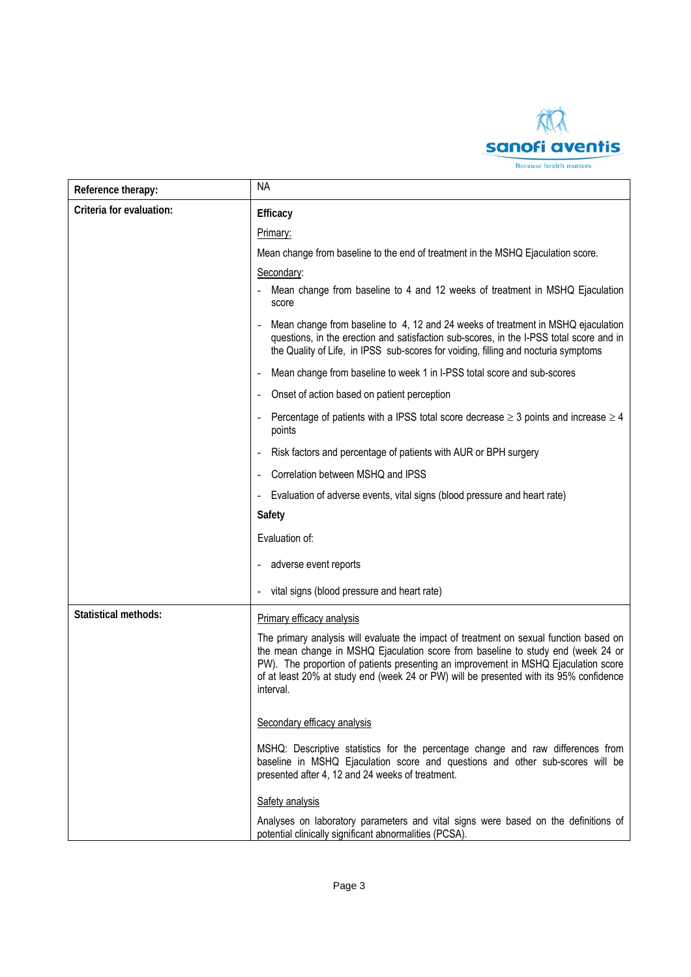

| Reference therapy:          | <b>NA</b>                                                                                                                                                                                                                                                                                                                                                                |  |
|-----------------------------|--------------------------------------------------------------------------------------------------------------------------------------------------------------------------------------------------------------------------------------------------------------------------------------------------------------------------------------------------------------------------|--|
| Criteria for evaluation:    | Efficacy                                                                                                                                                                                                                                                                                                                                                                 |  |
|                             | Primary:                                                                                                                                                                                                                                                                                                                                                                 |  |
|                             | Mean change from baseline to the end of treatment in the MSHQ Ejaculation score.                                                                                                                                                                                                                                                                                         |  |
|                             | Secondary:                                                                                                                                                                                                                                                                                                                                                               |  |
|                             | Mean change from baseline to 4 and 12 weeks of treatment in MSHQ Ejaculation<br>$\overline{\phantom{a}}$<br>score                                                                                                                                                                                                                                                        |  |
|                             | Mean change from baseline to 4, 12 and 24 weeks of treatment in MSHQ ejaculation<br>questions, in the erection and satisfaction sub-scores, in the I-PSS total score and in<br>the Quality of Life, in IPSS sub-scores for voiding, filling and nocturia symptoms                                                                                                        |  |
|                             | Mean change from baseline to week 1 in I-PSS total score and sub-scores<br>$\overline{\phantom{a}}$                                                                                                                                                                                                                                                                      |  |
|                             | Onset of action based on patient perception<br>$\qquad \qquad \blacksquare$                                                                                                                                                                                                                                                                                              |  |
|                             | Percentage of patients with a IPSS total score decrease $\geq$ 3 points and increase $\geq$ 4<br>points                                                                                                                                                                                                                                                                  |  |
|                             | Risk factors and percentage of patients with AUR or BPH surgery<br>$\qquad \qquad \blacksquare$                                                                                                                                                                                                                                                                          |  |
|                             | Correlation between MSHQ and IPSS                                                                                                                                                                                                                                                                                                                                        |  |
|                             | Evaluation of adverse events, vital signs (blood pressure and heart rate)<br>$\overline{\phantom{m}}$                                                                                                                                                                                                                                                                    |  |
|                             | Safety                                                                                                                                                                                                                                                                                                                                                                   |  |
|                             | Evaluation of:                                                                                                                                                                                                                                                                                                                                                           |  |
|                             | adverse event reports<br>$\qquad \qquad \blacksquare$                                                                                                                                                                                                                                                                                                                    |  |
|                             | vital signs (blood pressure and heart rate)                                                                                                                                                                                                                                                                                                                              |  |
| <b>Statistical methods:</b> | Primary efficacy analysis                                                                                                                                                                                                                                                                                                                                                |  |
|                             | The primary analysis will evaluate the impact of treatment on sexual function based on<br>the mean change in MSHQ Ejaculation score from baseline to study end (week 24 or<br>PW). The proportion of patients presenting an improvement in MSHQ Ejaculation score<br>of at least 20% at study end (week 24 or PW) will be presented with its 95% confidence<br>interval. |  |
|                             | Secondary efficacy analysis                                                                                                                                                                                                                                                                                                                                              |  |
|                             | MSHQ: Descriptive statistics for the percentage change and raw differences from<br>baseline in MSHQ Ejaculation score and questions and other sub-scores will be<br>presented after 4, 12 and 24 weeks of treatment.                                                                                                                                                     |  |
|                             | Safety analysis                                                                                                                                                                                                                                                                                                                                                          |  |
|                             | Analyses on laboratory parameters and vital signs were based on the definitions of<br>potential clinically significant abnormalities (PCSA).                                                                                                                                                                                                                             |  |